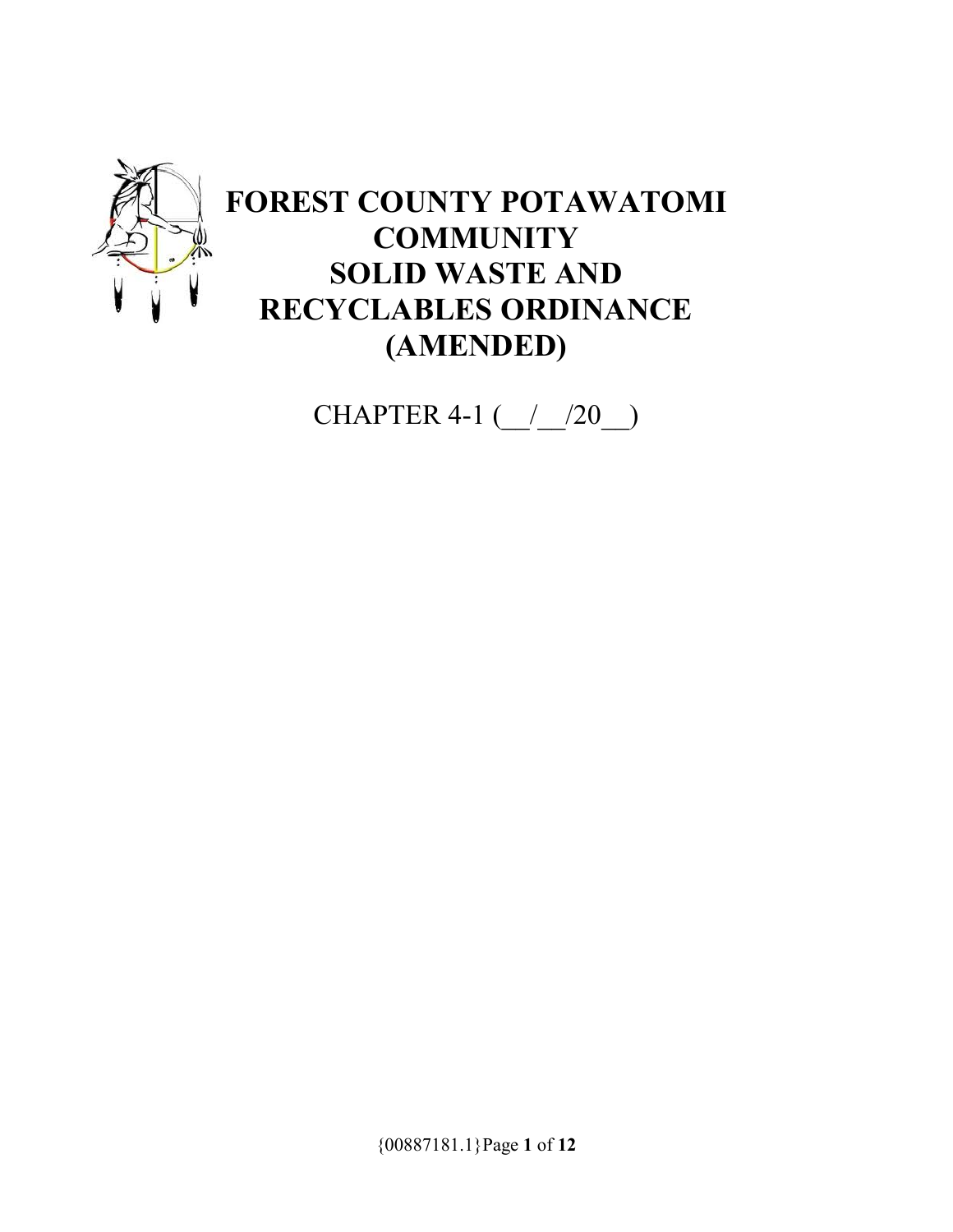

# **FOREST COUNTY POTAWATOMI COMMUNITY SOLID WASTE AND RECYCLABLES ORDINANCE (AMENDED)**

CHAPTER 4-1 (\_\_/\_\_/20\_\_)

{00887181.1}Page **1** of **12**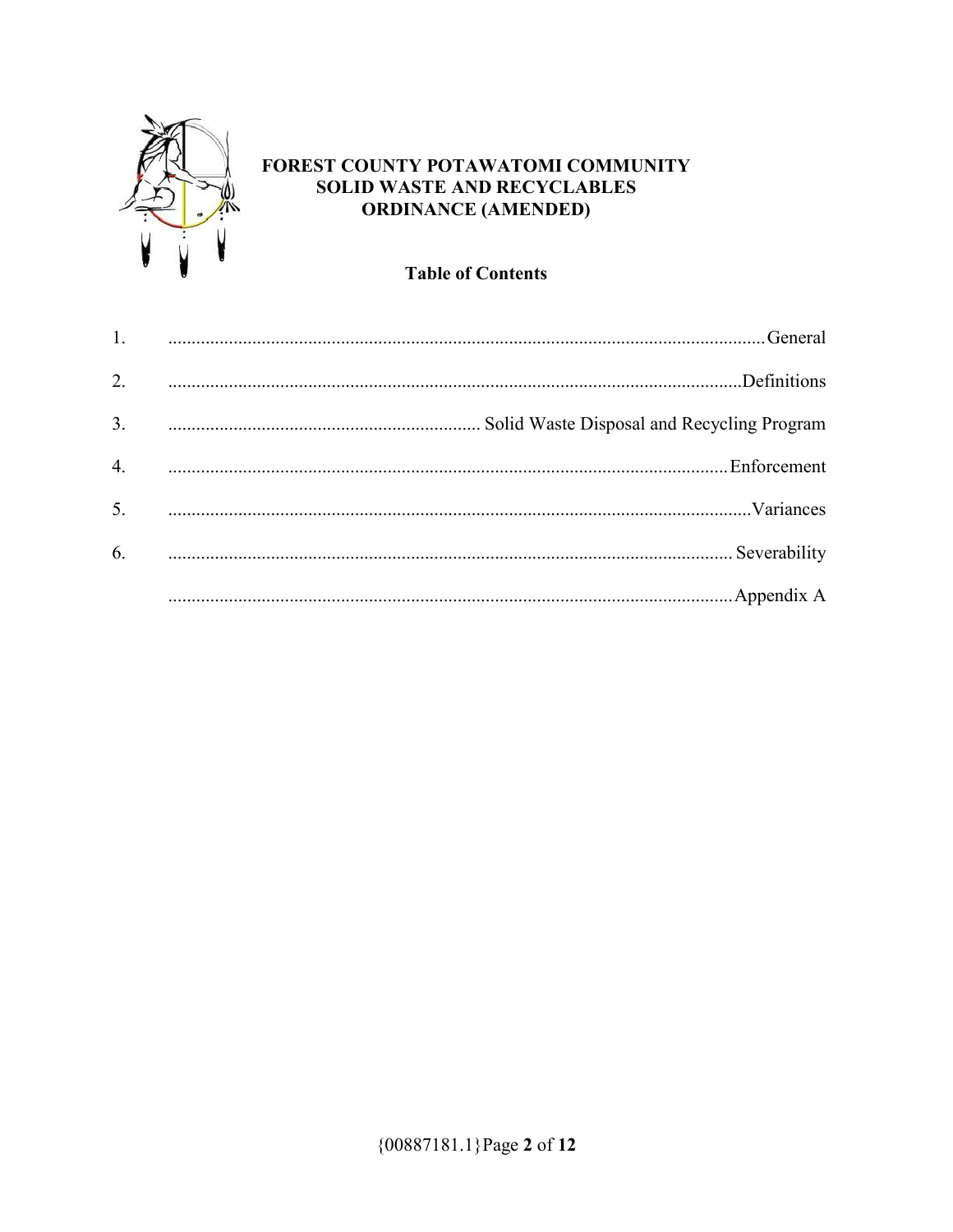

# FOREST COUNTY POTAWATOMI COMMUNITY **SOLID WASTE AND RECYCLABLES ORDINANCE (AMENDED)**

# **Table of Contents**

| 1.               |
|------------------|
| $\overline{2}$ . |
| $\overline{3}$ . |
| 4.               |
| 5.               |
| 6.               |
|                  |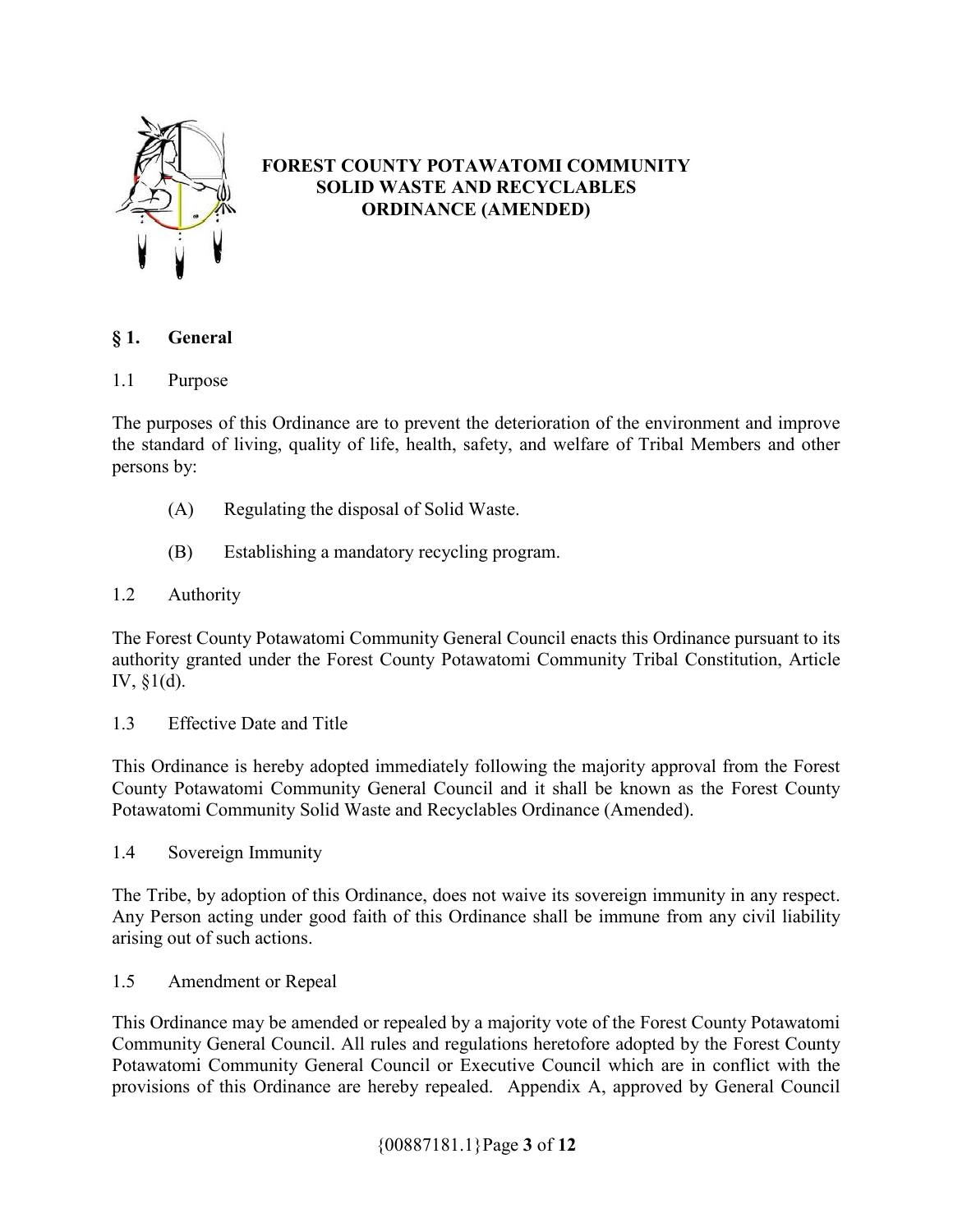

# **FOREST COUNTY POTAWATOMI COMMUNITY SOLID WASTE AND RECYCLABLES ORDINANCE (AMENDED)**

# **§ 1. General**

1.1 Purpose

The purposes of this Ordinance are to prevent the deterioration of the environment and improve the standard of living, quality of life, health, safety, and welfare of Tribal Members and other persons by:

- (A) Regulating the disposal of Solid Waste.
- (B) Establishing a mandatory recycling program.
- 1.2 Authority

The Forest County Potawatomi Community General Council enacts this Ordinance pursuant to its authority granted under the Forest County Potawatomi Community Tribal Constitution, Article IV, §1(d).

1.3 Effective Date and Title

This Ordinance is hereby adopted immediately following the majority approval from the Forest County Potawatomi Community General Council and it shall be known as the Forest County Potawatomi Community Solid Waste and Recyclables Ordinance (Amended).

1.4 Sovereign Immunity

The Tribe, by adoption of this Ordinance, does not waive its sovereign immunity in any respect. Any Person acting under good faith of this Ordinance shall be immune from any civil liability arising out of such actions.

1.5 Amendment or Repeal

This Ordinance may be amended or repealed by a majority vote of the Forest County Potawatomi Community General Council. All rules and regulations heretofore adopted by the Forest County Potawatomi Community General Council or Executive Council which are in conflict with the provisions of this Ordinance are hereby repealed. Appendix A, approved by General Council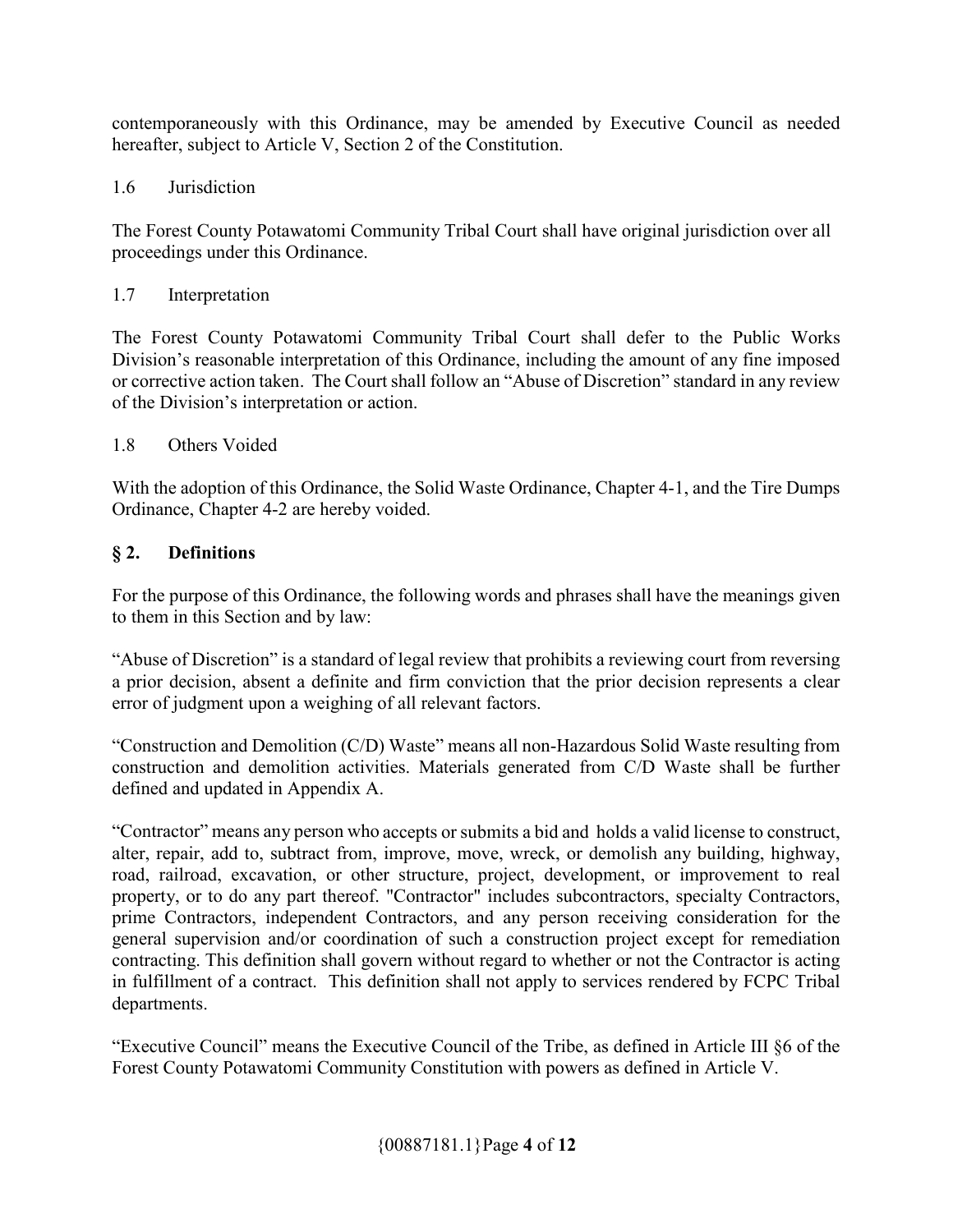contemporaneously with this Ordinance, may be amended by Executive Council as needed hereafter, subject to Article V, Section 2 of the Constitution.

# 1.6 Jurisdiction

The Forest County Potawatomi Community Tribal Court shall have original jurisdiction over all proceedings under this Ordinance.

# 1.7 Interpretation

The Forest County Potawatomi Community Tribal Court shall defer to the Public Works Division's reasonable interpretation of this Ordinance, including the amount of any fine imposed or corrective action taken. The Court shall follow an "Abuse of Discretion" standard in any review of the Division's interpretation or action.

# 1.8 Others Voided

With the adoption of this Ordinance, the Solid Waste Ordinance, Chapter 4-1, and the Tire Dumps Ordinance, Chapter 4-2 are hereby voided.

# **§ 2. Definitions**

For the purpose of this Ordinance, the following words and phrases shall have the meanings given to them in this Section and by law:

"Abuse of Discretion" is a standard of legal review that prohibits a reviewing court from reversing a prior decision, absent a definite and firm conviction that the prior decision represents a clear error of judgment upon a weighing of all relevant factors.

"Construction and Demolition (C/D) Waste" means all non-Hazardous Solid Waste resulting from construction and demolition activities. Materials generated from C/D Waste shall be further defined and updated in Appendix A.

"Contractor" means any person who accepts or submits a bid and holds a valid license to construct, alter, repair, add to, subtract from, improve, move, wreck, or demolish any building, highway, road, railroad, excavation, or other structure, project, development, or improvement to real property, or to do any part thereof. "Contractor" includes subcontractors, specialty Contractors, prime Contractors, independent Contractors, and any person receiving consideration for the general supervision and/or coordination of such a construction project except for remediation contracting. This definition shall govern without regard to whether or not the Contractor is acting in fulfillment of a contract. This definition shall not apply to services rendered by FCPC Tribal departments.

"Executive Council" means the Executive Council of the Tribe, as defined in Article III §6 of the Forest County Potawatomi Community Constitution with powers as defined in Article V.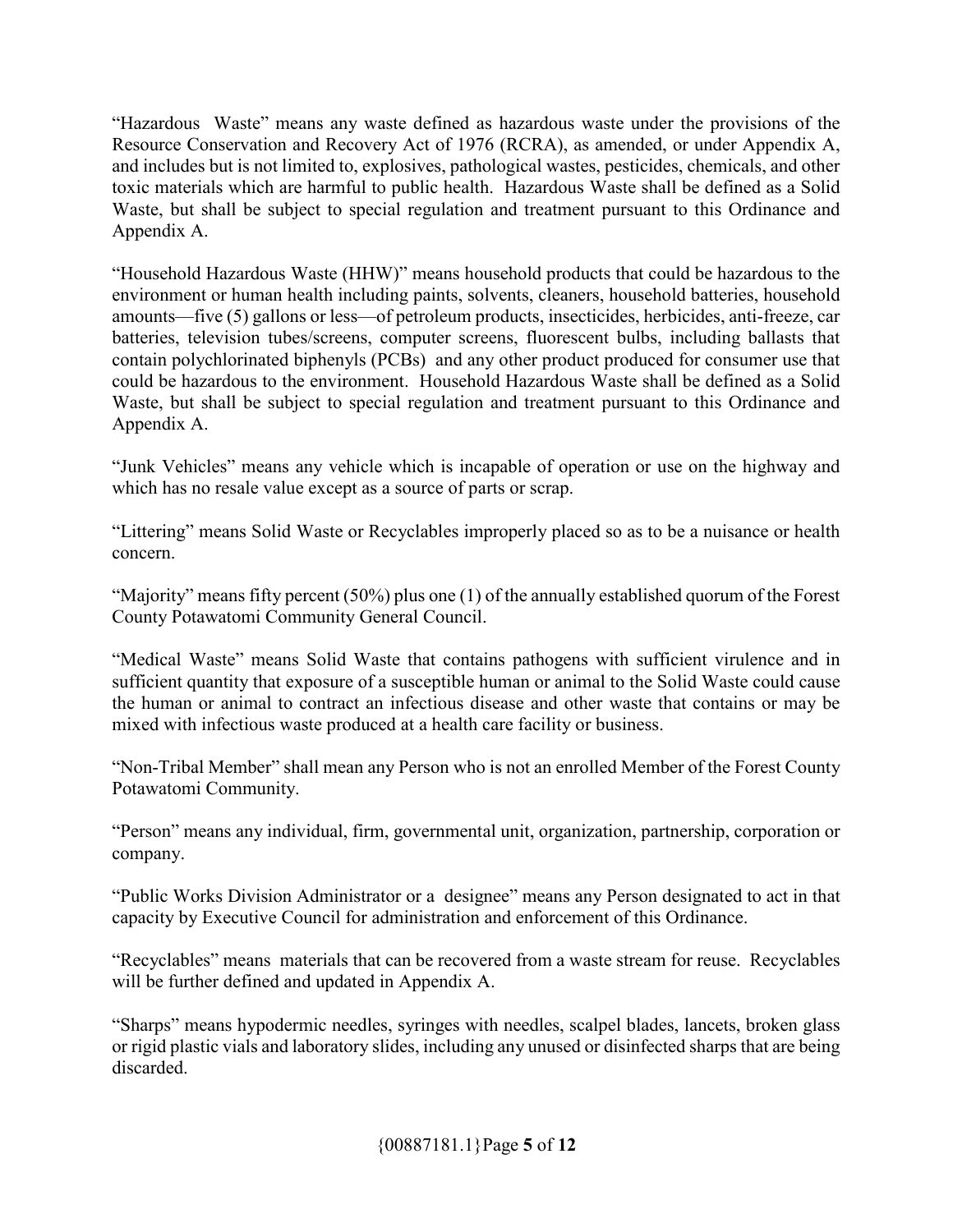"Hazardous Waste" means any waste defined as hazardous waste under the provisions of the Resource Conservation and Recovery Act of 1976 (RCRA), as amended, or under Appendix A, and includes but is not limited to, explosives, pathological wastes, pesticides, chemicals, and other toxic materials which are harmful to public health. Hazardous Waste shall be defined as a Solid Waste, but shall be subject to special regulation and treatment pursuant to this Ordinance and Appendix A.

"Household Hazardous Waste (HHW)" means household products that could be hazardous to the environment or human health including paints, solvents, cleaners, household batteries, household amounts—five (5) gallons or less—of petroleum products, insecticides, herbicides, anti-freeze, car batteries, television tubes/screens, computer screens, fluorescent bulbs, including ballasts that contain polychlorinated biphenyls (PCBs) and any other product produced for consumer use that could be hazardous to the environment. Household Hazardous Waste shall be defined as a Solid Waste, but shall be subject to special regulation and treatment pursuant to this Ordinance and Appendix A.

"Junk Vehicles" means any vehicle which is incapable of operation or use on the highway and which has no resale value except as a source of parts or scrap.

"Littering" means Solid Waste or Recyclables improperly placed so as to be a nuisance or health concern.

"Majority" means fifty percent (50%) plus one (1) of the annually established quorum of the Forest County Potawatomi Community General Council.

"Medical Waste" means Solid Waste that contains pathogens with sufficient virulence and in sufficient quantity that exposure of a susceptible human or animal to the Solid Waste could cause the human or animal to contract an infectious disease and other waste that contains or may be mixed with infectious waste produced at a health care facility or business.

"Non-Tribal Member" shall mean any Person who is not an enrolled Member of the Forest County Potawatomi Community.

"Person" means any individual, firm, governmental unit, organization, partnership, corporation or company.

"Public Works Division Administrator or a designee" means any Person designated to act in that capacity by Executive Council for administration and enforcement of this Ordinance.

"Recyclables" means materials that can be recovered from a waste stream for reuse. Recyclables will be further defined and updated in Appendix A.

"Sharps" means hypodermic needles, syringes with needles, scalpel blades, lancets, broken glass or rigid plastic vials and laboratory slides, including any unused or disinfected sharps that are being discarded.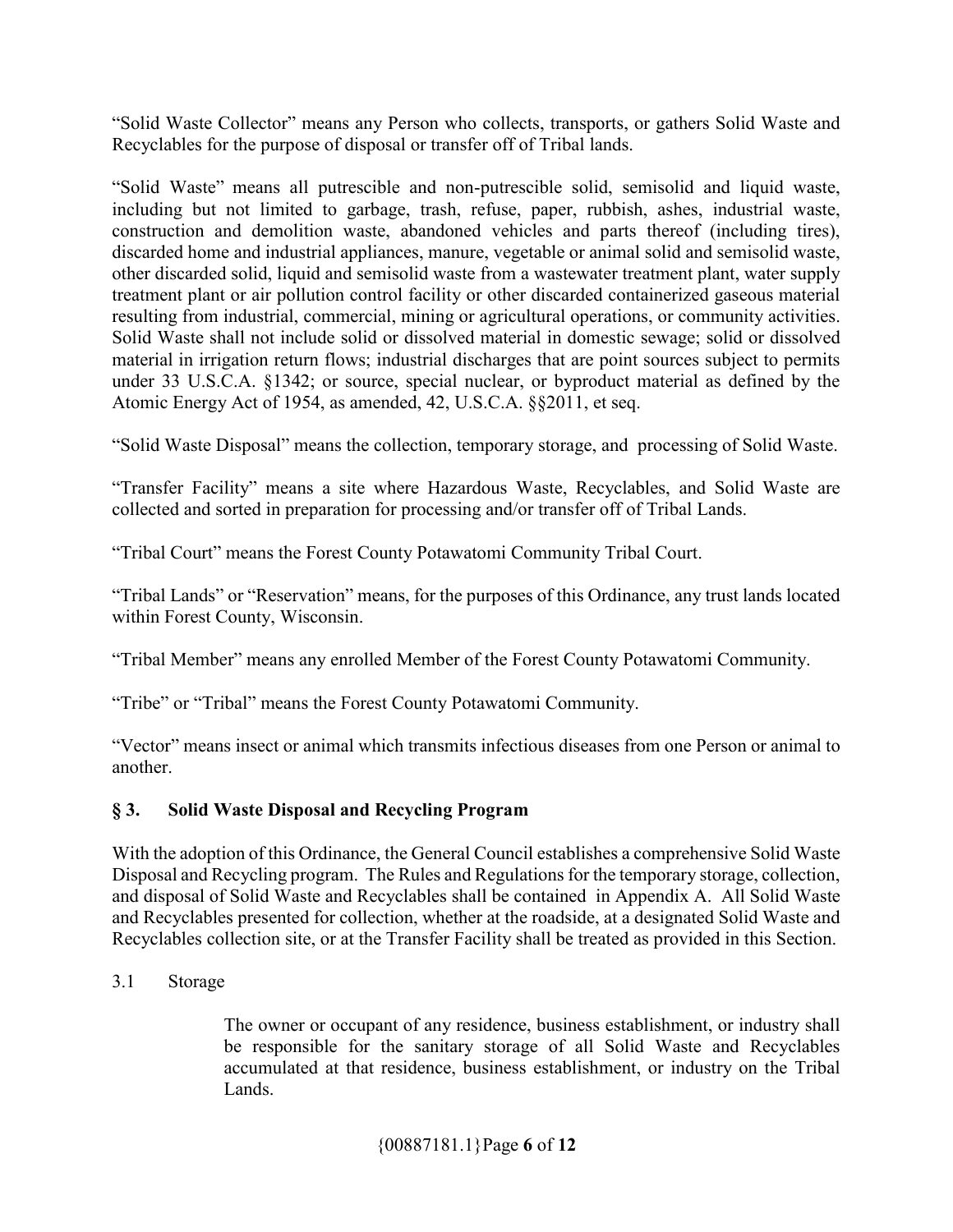"Solid Waste Collector" means any Person who collects, transports, or gathers Solid Waste and Recyclables for the purpose of disposal or transfer off of Tribal lands.

"Solid Waste" means all putrescible and non-putrescible solid, semisolid and liquid waste, including but not limited to garbage, trash, refuse, paper, rubbish, ashes, industrial waste, construction and demolition waste, abandoned vehicles and parts thereof (including tires), discarded home and industrial appliances, manure, vegetable or animal solid and semisolid waste, other discarded solid, liquid and semisolid waste from a wastewater treatment plant, water supply treatment plant or air pollution control facility or other discarded containerized gaseous material resulting from industrial, commercial, mining or agricultural operations, or community activities. Solid Waste shall not include solid or dissolved material in domestic sewage; solid or dissolved material in irrigation return flows; industrial discharges that are point sources subject to permits under 33 U.S.C.A. §1342; or source, special nuclear, or byproduct material as defined by the Atomic Energy Act of 1954, as amended, 42, U.S.C.A. §§2011, et seq.

"Solid Waste Disposal" means the collection, temporary storage, and processing of Solid Waste.

"Transfer Facility" means a site where Hazardous Waste, Recyclables, and Solid Waste are collected and sorted in preparation for processing and/or transfer off of Tribal Lands.

"Tribal Court" means the Forest County Potawatomi Community Tribal Court.

"Tribal Lands" or "Reservation" means, for the purposes of this Ordinance, any trust lands located within Forest County, Wisconsin.

"Tribal Member" means any enrolled Member of the Forest County Potawatomi Community.

"Tribe" or "Tribal" means the Forest County Potawatomi Community.

"Vector" means insect or animal which transmits infectious diseases from one Person or animal to another.

# **§ 3. Solid Waste Disposal and Recycling Program**

With the adoption of this Ordinance, the General Council establishes a comprehensive Solid Waste Disposal and Recycling program. The Rules and Regulations for the temporary storage, collection, and disposal of Solid Waste and Recyclables shall be contained in Appendix A. All Solid Waste and Recyclables presented for collection, whether at the roadside, at a designated Solid Waste and Recyclables collection site, or at the Transfer Facility shall be treated as provided in this Section.

3.1 Storage

The owner or occupant of any residence, business establishment, or industry shall be responsible for the sanitary storage of all Solid Waste and Recyclables accumulated at that residence, business establishment, or industry on the Tribal Lands.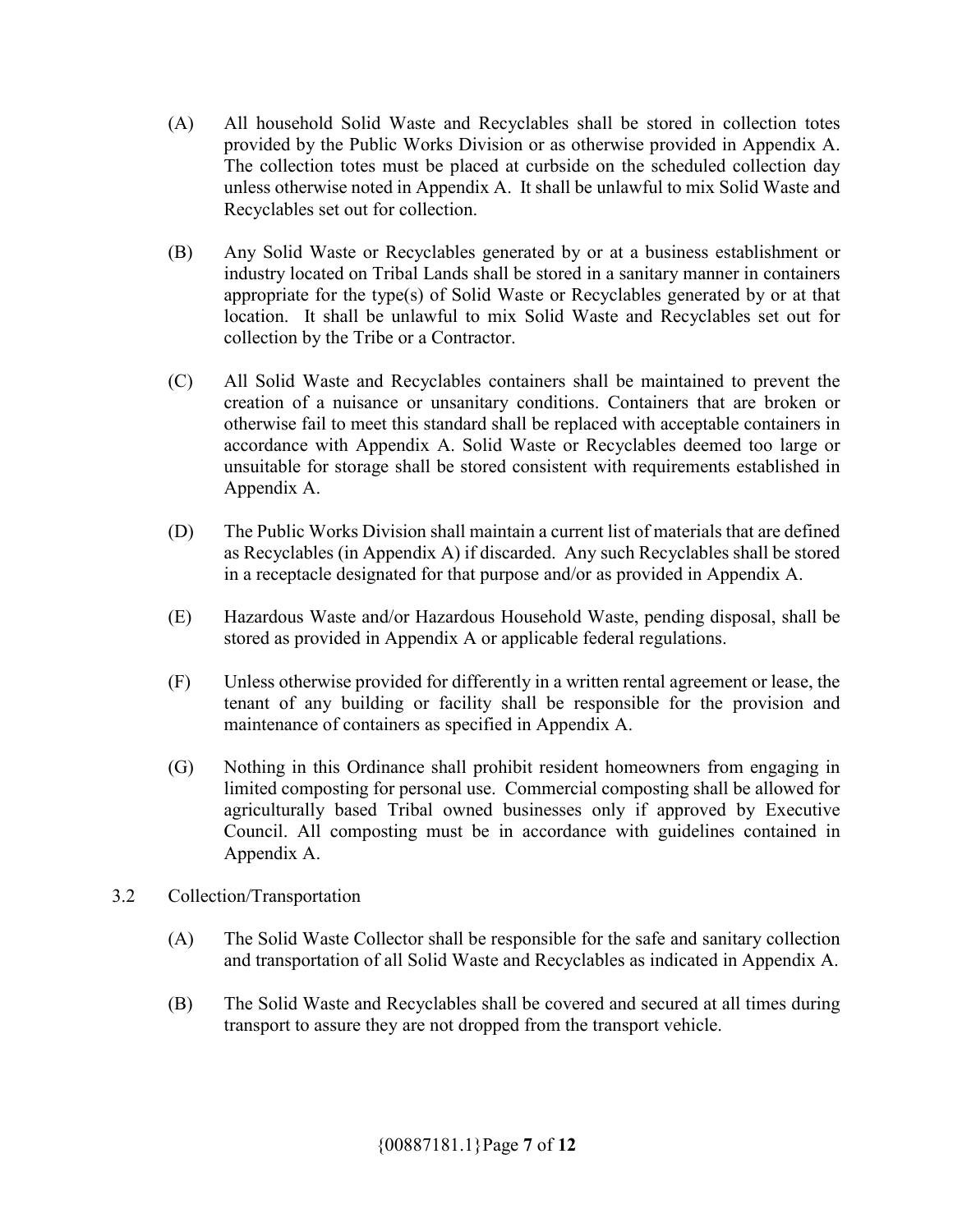- (A) All household Solid Waste and Recyclables shall be stored in collection totes provided by the Public Works Division or as otherwise provided in Appendix A. The collection totes must be placed at curbside on the scheduled collection day unless otherwise noted in Appendix A. It shall be unlawful to mix Solid Waste and Recyclables set out for collection.
- (B) Any Solid Waste or Recyclables generated by or at a business establishment or industry located on Tribal Lands shall be stored in a sanitary manner in containers appropriate for the type(s) of Solid Waste or Recyclables generated by or at that location. It shall be unlawful to mix Solid Waste and Recyclables set out for collection by the Tribe or a Contractor.
- (C) All Solid Waste and Recyclables containers shall be maintained to prevent the creation of a nuisance or unsanitary conditions. Containers that are broken or otherwise fail to meet this standard shall be replaced with acceptable containers in accordance with Appendix A. Solid Waste or Recyclables deemed too large or unsuitable for storage shall be stored consistent with requirements established in Appendix A.
- (D) The Public Works Division shall maintain a current list of materials that are defined as Recyclables (in Appendix A) if discarded. Any such Recyclables shall be stored in a receptacle designated for that purpose and/or as provided in Appendix A.
- (E) Hazardous Waste and/or Hazardous Household Waste, pending disposal, shall be stored as provided in Appendix A or applicable federal regulations.
- (F) Unless otherwise provided for differently in a written rental agreement or lease, the tenant of any building or facility shall be responsible for the provision and maintenance of containers as specified in Appendix A.
- (G) Nothing in this Ordinance shall prohibit resident homeowners from engaging in limited composting for personal use. Commercial composting shall be allowed for agriculturally based Tribal owned businesses only if approved by Executive Council. All composting must be in accordance with guidelines contained in Appendix A.
- 3.2 Collection/Transportation
	- (A) The Solid Waste Collector shall be responsible for the safe and sanitary collection and transportation of all Solid Waste and Recyclables as indicated in Appendix A.
	- (B) The Solid Waste and Recyclables shall be covered and secured at all times during transport to assure they are not dropped from the transport vehicle.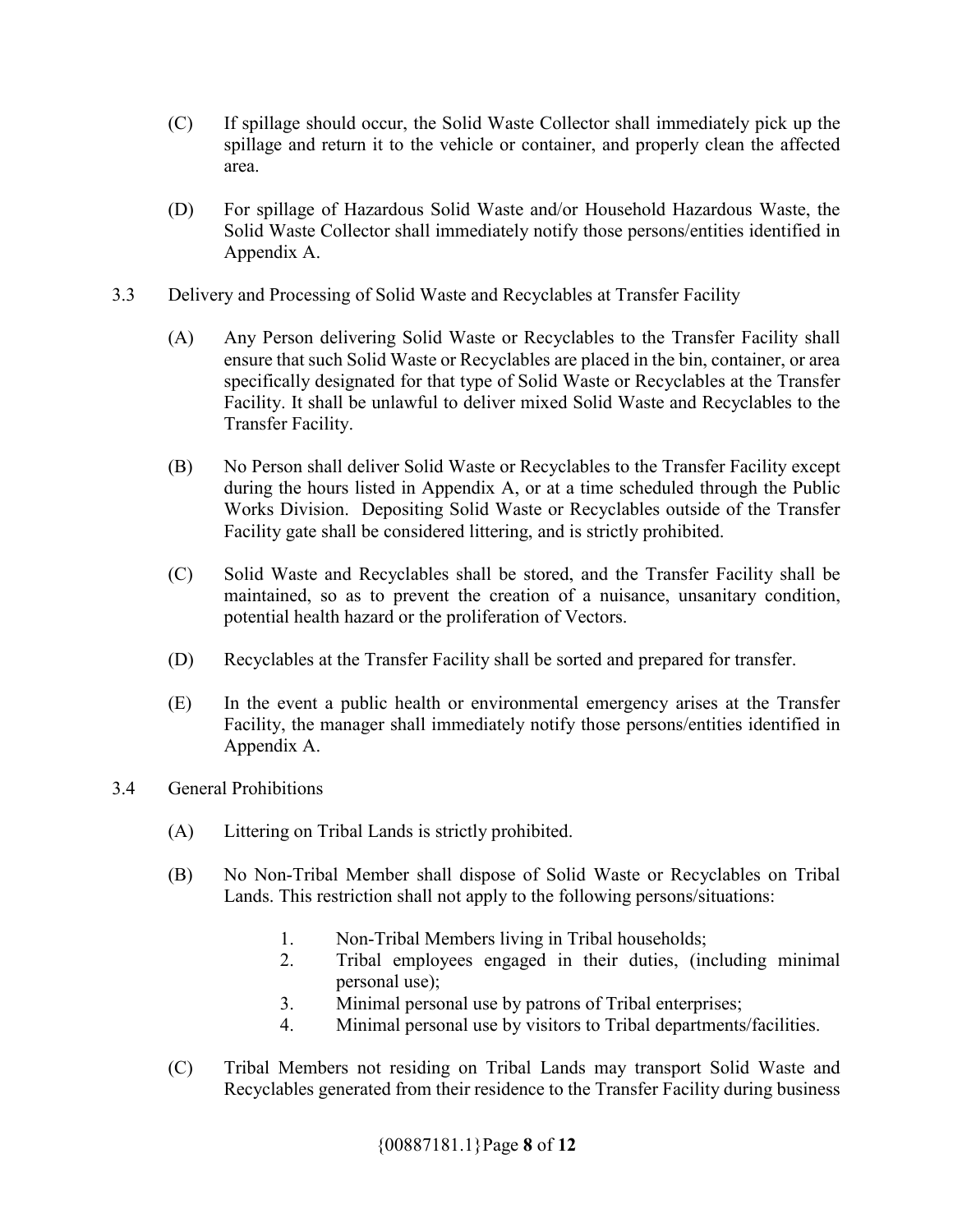- (C) If spillage should occur, the Solid Waste Collector shall immediately pick up the spillage and return it to the vehicle or container, and properly clean the affected area.
- (D) For spillage of Hazardous Solid Waste and/or Household Hazardous Waste, the Solid Waste Collector shall immediately notify those persons/entities identified in Appendix A.
- 3.3 Delivery and Processing of Solid Waste and Recyclables at Transfer Facility
	- (A) Any Person delivering Solid Waste or Recyclables to the Transfer Facility shall ensure that such Solid Waste or Recyclables are placed in the bin, container, or area specifically designated for that type of Solid Waste or Recyclables at the Transfer Facility. It shall be unlawful to deliver mixed Solid Waste and Recyclables to the Transfer Facility.
	- (B) No Person shall deliver Solid Waste or Recyclables to the Transfer Facility except during the hours listed in Appendix A, or at a time scheduled through the Public Works Division. Depositing Solid Waste or Recyclables outside of the Transfer Facility gate shall be considered littering, and is strictly prohibited.
	- (C) Solid Waste and Recyclables shall be stored, and the Transfer Facility shall be maintained, so as to prevent the creation of a nuisance, unsanitary condition, potential health hazard or the proliferation of Vectors.
	- (D) Recyclables at the Transfer Facility shall be sorted and prepared for transfer.
	- (E) In the event a public health or environmental emergency arises at the Transfer Facility, the manager shall immediately notify those persons/entities identified in Appendix A.
- 3.4 General Prohibitions
	- (A) Littering on Tribal Lands is strictly prohibited.
	- (B) No Non-Tribal Member shall dispose of Solid Waste or Recyclables on Tribal Lands. This restriction shall not apply to the following persons/situations:
		- 1. Non-Tribal Members living in Tribal households;
		- 2. Tribal employees engaged in their duties, (including minimal personal use);
		- 3. Minimal personal use by patrons of Tribal enterprises;
		- 4. Minimal personal use by visitors to Tribal departments/facilities.
	- (C) Tribal Members not residing on Tribal Lands may transport Solid Waste and Recyclables generated from their residence to the Transfer Facility during business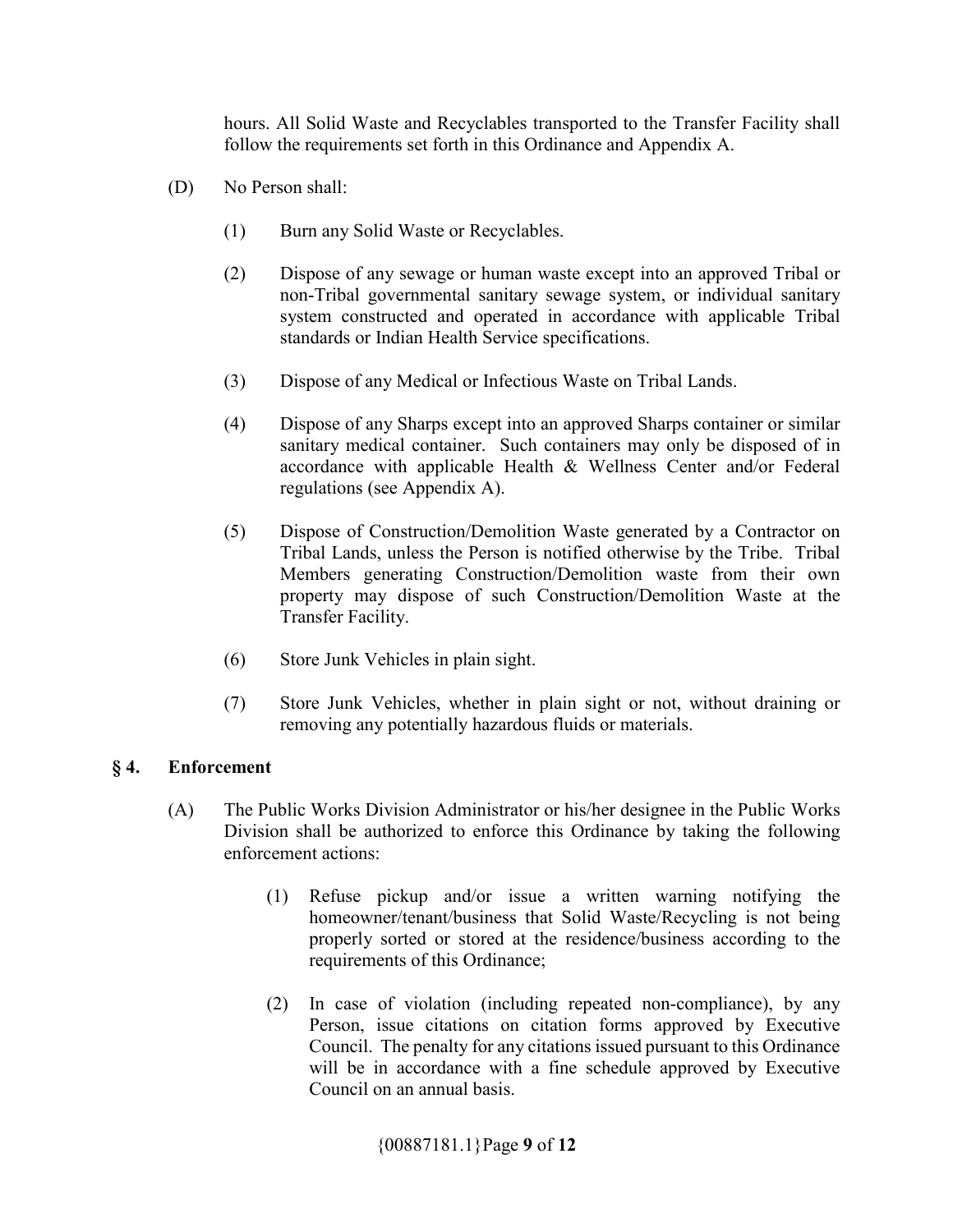hours. All Solid Waste and Recyclables transported to the Transfer Facility shall follow the requirements set forth in this Ordinance and Appendix A.

- (D) No Person shall:
	- (1) Burn any Solid Waste or Recyclables.
	- (2) Dispose of any sewage or human waste except into an approved Tribal or non-Tribal governmental sanitary sewage system, or individual sanitary system constructed and operated in accordance with applicable Tribal standards or Indian Health Service specifications.
	- (3) Dispose of any Medical or Infectious Waste on Tribal Lands.
	- (4) Dispose of any Sharps except into an approved Sharps container or similar sanitary medical container. Such containers may only be disposed of in accordance with applicable Health & Wellness Center and/or Federal regulations (see Appendix A).
	- (5) Dispose of Construction/Demolition Waste generated by a Contractor on Tribal Lands, unless the Person is notified otherwise by the Tribe. Tribal Members generating Construction/Demolition waste from their own property may dispose of such Construction/Demolition Waste at the Transfer Facility.
	- (6) Store Junk Vehicles in plain sight.
	- (7) Store Junk Vehicles, whether in plain sight or not, without draining or removing any potentially hazardous fluids or materials.

#### **§ 4. Enforcement**

- (A) The Public Works Division Administrator or his/her designee in the Public Works Division shall be authorized to enforce this Ordinance by taking the following enforcement actions:
	- (1) Refuse pickup and/or issue a written warning notifying the homeowner/tenant/business that Solid Waste/Recycling is not being properly sorted or stored at the residence/business according to the requirements of this Ordinance;
	- (2) In case of violation (including repeated non-compliance), by any Person, issue citations on citation forms approved by Executive Council. The penalty for any citations issued pursuant to this Ordinance will be in accordance with a fine schedule approved by Executive Council on an annual basis.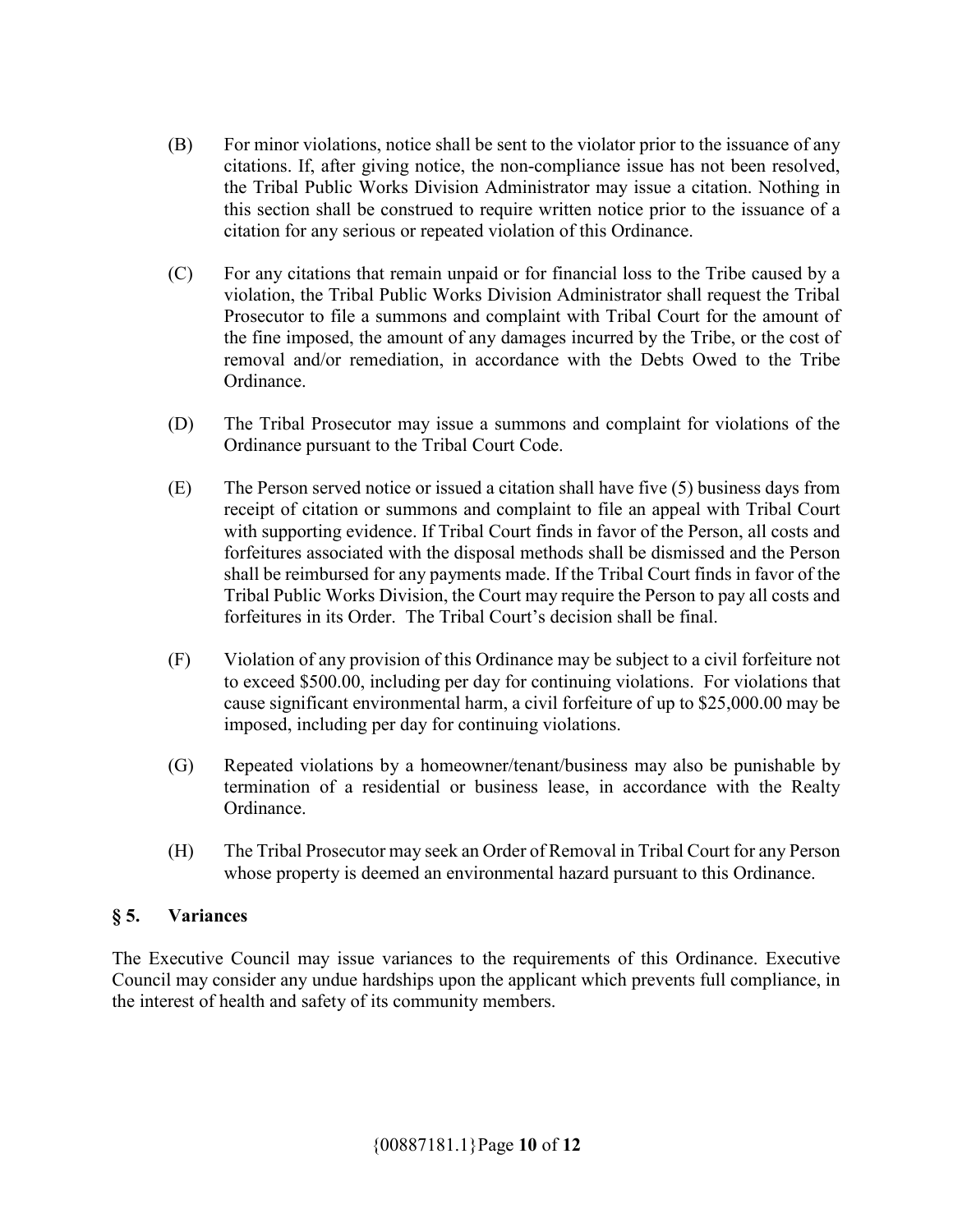- (B) For minor violations, notice shall be sent to the violator prior to the issuance of any citations. If, after giving notice, the non-compliance issue has not been resolved, the Tribal Public Works Division Administrator may issue a citation. Nothing in this section shall be construed to require written notice prior to the issuance of a citation for any serious or repeated violation of this Ordinance.
- (C) For any citations that remain unpaid or for financial loss to the Tribe caused by a violation, the Tribal Public Works Division Administrator shall request the Tribal Prosecutor to file a summons and complaint with Tribal Court for the amount of the fine imposed, the amount of any damages incurred by the Tribe, or the cost of removal and/or remediation, in accordance with the Debts Owed to the Tribe Ordinance.
- (D) The Tribal Prosecutor may issue a summons and complaint for violations of the Ordinance pursuant to the Tribal Court Code.
- (E) The Person served notice or issued a citation shall have five (5) business days from receipt of citation or summons and complaint to file an appeal with Tribal Court with supporting evidence. If Tribal Court finds in favor of the Person, all costs and forfeitures associated with the disposal methods shall be dismissed and the Person shall be reimbursed for any payments made. If the Tribal Court finds in favor of the Tribal Public Works Division, the Court may require the Person to pay all costs and forfeitures in its Order. The Tribal Court's decision shall be final.
- (F) Violation of any provision of this Ordinance may be subject to a civil forfeiture not to exceed \$500.00, including per day for continuing violations. For violations that cause significant environmental harm, a civil forfeiture of up to \$25,000.00 may be imposed, including per day for continuing violations.
- (G) Repeated violations by a homeowner/tenant/business may also be punishable by termination of a residential or business lease, in accordance with the Realty Ordinance.
- (H) The Tribal Prosecutor may seek an Order of Removal in Tribal Court for any Person whose property is deemed an environmental hazard pursuant to this Ordinance.

#### **§ 5. Variances**

The Executive Council may issue variances to the requirements of this Ordinance. Executive Council may consider any undue hardships upon the applicant which prevents full compliance, in the interest of health and safety of its community members.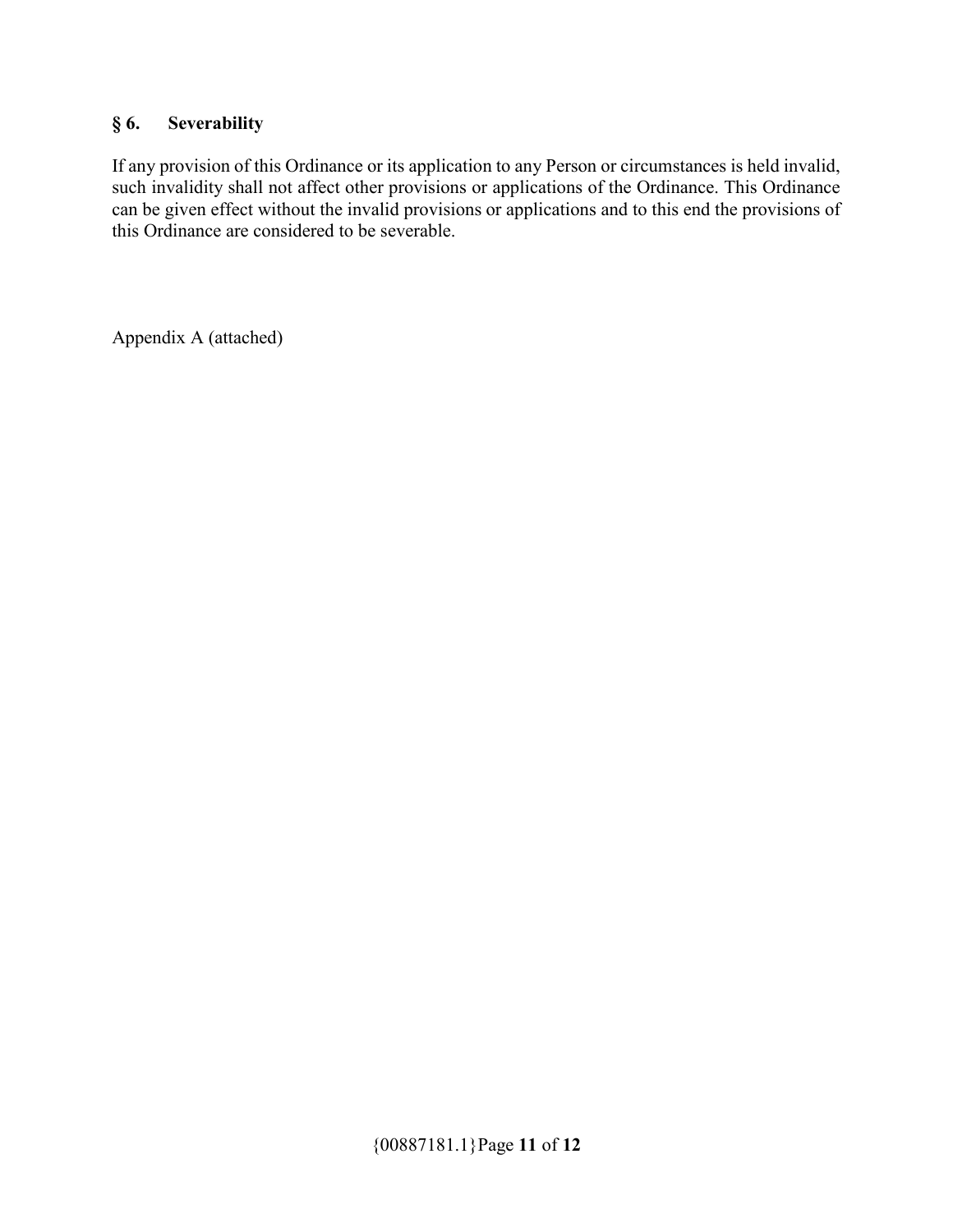# **§ 6. Severability**

If any provision of this Ordinance or its application to any Person or circumstances is held invalid, such invalidity shall not affect other provisions or applications of the Ordinance. This Ordinance can be given effect without the invalid provisions or applications and to this end the provisions of this Ordinance are considered to be severable.

Appendix A (attached)